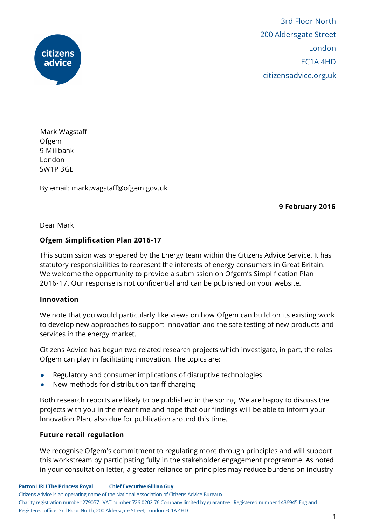

3rd Floor North 200 Aldersgate Street London EC1A 4HD citizensadvice.org.uk

Mark Wagstaff Ofgem 9 Millbank London SW1P 3GE

By email: mark.wagstaff@ofgem.gov.uk

9 February 2016

Dear Mark

## Ofgem Simplification Plan 2016-17

This submission was prepared by the Energy team within the Citizens Advice Service. It has statutory responsibilities to represent the interests of energy consumers in Great Britain. We welcome the opportunity to provide a submission on Ofgem's Simplification Plan 2016-17. Our response is not confidential and can be published on your website.

#### Innovation

We note that you would particularly like views on how Ofgem can build on its existing work to develop new approaches to support innovation and the safe testing of new products and services in the energy market.

Citizens Advice has begun two related research projects which investigate, in part, the roles Ofgem can play in facilitating innovation. The topics are:

- Regulatory and consumer implications of disruptive technologies
- New methods for distribution tariff charging

Both research reports are likely to be published in the spring. We are happy to discuss the projects with you in the meantime and hope that our findings will be able to inform your Innovation Plan, also due for publication around this time.

## Future retail regulation

We recognise Ofgem's commitment to regulating more through principles and will support this workstream by participating fully in the stakeholder engagement programme. As noted in your consultation letter, a greater reliance on principles may reduce burdens on industry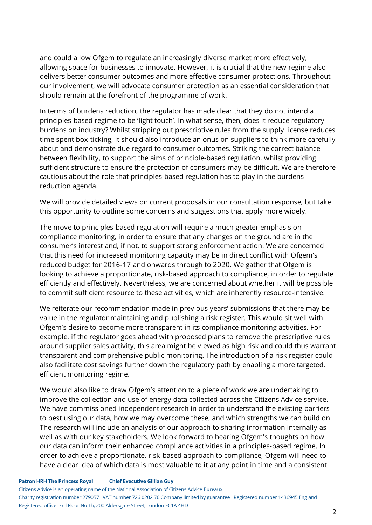and could allow Ofgem to regulate an increasingly diverse market more effectively, allowing space for businesses to innovate. However, it is crucial that the new regime also delivers better consumer outcomes and more effective consumer protections. Throughout our involvement, we will advocate consumer protection as an essential consideration that should remain at the forefront of the programme of work.

In terms of burdens reduction, the regulator has made clear that they do not intend a principles-based regime to be 'light touch'. In what sense, then, does it reduce regulatory burdens on industry? Whilst stripping out prescriptive rules from the supply license reduces time spent box-ticking, it should also introduce an onus on suppliers to think more carefully about and demonstrate due regard to consumer outcomes. Striking the correct balance between flexibility, to support the aims of principle-based regulation, whilst providing sufficient structure to ensure the protection of consumers may be difficult. We are therefore cautious about the role that principles-based regulation has to play in the burdens reduction agenda.

We will provide detailed views on current proposals in our consultation response, but take this opportunity to outline some concerns and suggestions that apply more widely.

The move to principles-based regulation will require a much greater emphasis on compliance monitoring, in order to ensure that any changes on the ground are in the consumer's interest and, if not, to support strong enforcement action. We are concerned that this need for increased monitoring capacity may be in direct conflict with Ofgem's reduced budget for 2016-17 and onwards through to 2020. We gather that Ofgem is looking to achieve a proportionate, risk-based approach to compliance, in order to regulate efficiently and effectively. Nevertheless, we are concerned about whether it will be possible to commit sufficient resource to these activities, which are inherently resource-intensive.

We reiterate our recommendation made in previous years' submissions that there may be value in the regulator maintaining and publishing a risk register. This would sit well with Ofgem's desire to become more transparent in its compliance monitoring activities. For example, if the regulator goes ahead with proposed plans to remove the prescriptive rules around supplier sales activity, this area might be viewed as high risk and could thus warrant transparent and comprehensive public monitoring. The introduction of a risk register could also facilitate cost savings further down the regulatory path by enabling a more targeted, efficient monitoring regime.

We would also like to draw Ofgem's attention to a piece of work we are undertaking to improve the collection and use of energy data collected across the Citizens Advice service. We have commissioned independent research in order to understand the existing barriers to best using our data, how we may overcome these, and which strengths we can build on. The research will include an analysis of our approach to sharing information internally as well as with our key stakeholders. We look forward to hearing Ofgem's thoughts on how our data can inform their enhanced compliance activities in a principles-based regime. In order to achieve a proportionate, risk-based approach to compliance, Ofgem will need to have a clear idea of which data is most valuable to it at any point in time and a consistent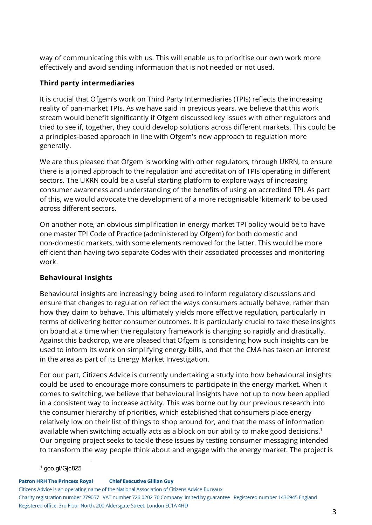way of communicating this with us. This will enable us to prioritise our own work more effectively and avoid sending information that is not needed or not used.

## Third party intermediaries

It is crucial that Ofgem's work on Third Party Intermediaries (TPIs) reflects the increasing reality of pan-market TPIs. As we have said in previous years, we believe that this work stream would benefit significantly if Ofgem discussed key issues with other regulators and tried to see if, together, they could develop solutions across different markets. This could be a principles-based approach in line with Ofgem's new approach to regulation more generally.

We are thus pleased that Ofgem is working with other regulators, through UKRN, to ensure there is a joined approach to the regulation and accreditation of TPIs operating in different sectors. The UKRN could be a useful starting platform to explore ways of increasing consumer awareness and understanding of the benefits of using an accredited TPI. As part of this, we would advocate the development of a more recognisable 'kitemark' to be used across different sectors.

On another note, an obvious simplification in energy market TPI policy would be to have one master TPI Code of Practice (administered by Ofgem) for both domestic and non-domestic markets, with some elements removed for the latter. This would be more efficient than having two separate Codes with their associated processes and monitoring work.

# Behavioural insights

Behavioural insights are increasingly being used to inform regulatory discussions and ensure that changes to regulation reflect the ways consumers actually behave, rather than how they claim to behave. This ultimately yields more effective regulation, particularly in terms of delivering better consumer outcomes. It is particularly crucial to take these insights on board at a time when the regulatory framework is changing so rapidly and drastically. Against this backdrop, we are pleased that Ofgem is considering how such insights can be used to inform its work on simplifying energy bills, and that the CMA has taken an interest in the area as part of its Energy Market Investigation.

For our part, Citizens Advice is currently undertaking a study into how behavioural insights could be used to encourage more consumers to participate in the energy market. When it comes to switching, we believe that behavioural insights have not up to now been applied in a consistent way to increase activity. This was borne out by our previous research into the consumer hierarchy of priorities, which established that consumers place energy relatively low on their list of things to shop around for, and that the mass of information available when switching actually acts as a block on our ability to make good decisions. 1 Our ongoing project seeks to tackle these issues by testing consumer messaging intended to transform the way people think about and engage with the energy market. The project is

**Patron HRH The Princess Royal Chief Executive Gillian Guy** Citizens Advice is an operating name of the National Association of Citizens Advice Bureaux Charity registration number 279057 VAT number 726 0202 76 Company limited by guarantee Registered number 1436945 England Registered office: 3rd Floor North, 200 Aldersgate Street, London EC1A 4HD

<sup>1</sup> goo.gl/Gjc8Z5